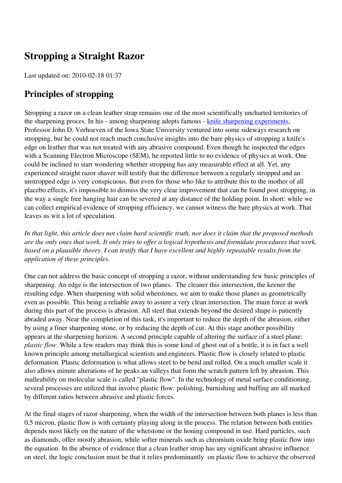# **Stropping a Straight Razor**

Last updated on: 2010-02-18 01:37

## **Principles of stropping**

Stropping a razor on a clean leather strap remains one of the most scientifically uncharted territories of the sharpening proces. In his - among sharpening adepts famous - [knife sharpening experiments](http://mse.iastate.edu/fileadmin/www.mse.iastate.edu/static/files/verhoeven/KnifeShExps.pdf), Professor John D. Verhoeven of the Iowa State University ventured into some sideways research on stropping, but he could not reach much conclusive insights into the bare physics of stropping a knife's edge on leather that was not treated with any abrasive compound. Even though he inspected the edges with a Scanning Electron Microscope (SEM), he reported little to no evidence of physics at work. One could be inclined to start wondering whether stropping has any measurable effect at all. Yet, any experienced straight razor shaver will testify that the difference between a regularly stropped and an unstropped edge is very conspicuous. But even for those who like to attribute this to the mother of all placebo effects, it's impossible to dismiss the very clear improvement that can be found post stropping, in the way a single free hanging hair can be severed at any distance of the holding point. In short: while we can collect empirical evidence of stropping efficiency, we cannot witness the bare physics at work. That leaves us wit a lot of speculation.

*In that light, this article does not claim hard scientific truth, nor does it claim that the proposed methods are the only ones that work. It only tries to offer a logical hypothesis and formulate procedures that work, based on a plausible theory. I can testify that I have excellent and highly repeatable results from the application of these principles.* 

One can not address the basic concept of stropping a razor, without understanding few basic principles of sharpening. An edge is the intersection of two planes. The cleaner this intersection, the keener the resulting edge. When sharpening with solid whetstones, we aim to make those planes as geometrically even as possible. This being a reliable away to assure a very clean intersection. The main force at work during this part of the process is abrasion. All steel that extends beyond the desired shape is patiently abraded away. Near the completion of this task, it's important to reduce the depth of the abrasion, either by using a finer sharpening stone, or by reducing the depth of cut. At this stage another possibility appears at the sharpening horizon. A second principle capable of altering the surface of a steel plane: *plastic flow*. While a few readers may think this is some kind of ghost out of a bottle, it is in fact a well known principle among metallurgical scientists and engineers. Plastic flow is closely related to plastic deformation. Plastic deformation is what allows steel to be bend and rolled. On a much smaller scale it also allows minute alterations of he peaks an valleys that form the scratch pattern left by abrasion. This malleability on molecular scale is called "plastic flow". In the technology of metal surface conditioning, several processes are utilized that involve plastic flow: polishing, burnishing and buffing are all marked by different ratios between abrasive and plastic forces.

At the final stages of razor sharpening, when the width of the intersection between both planes is less than 0.5 micron, plastic flow is with certainty playing along in the process. The relation between both entities depends most likely on the nature of the whetstone or the honing compound in use. Hard particles, such as diamonds, offer mostly abrasion, while softer minerals such as chromium oxide bring plastic flow into the equation. In the absence of evidence that a clean leather strop has any significant abrasive influence on steel, the logic conclusion must be that it relies predominantly on plastic flow to achieve the observed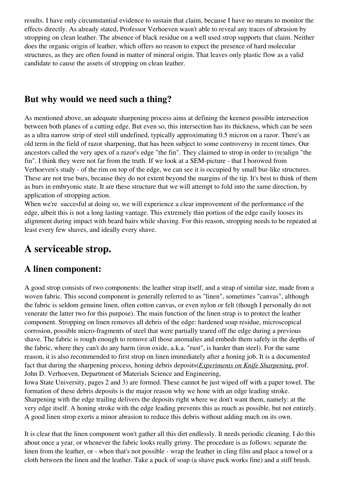results. I have only circumstantial evidence to sustain that claim, because I have no means to monitor the effects directly. As already stated, Professor Verhoeven wasn't able to reveal any traces of abrasion by stropping on clean leather. The absence of black residue on a well used strop supports that claim. Neither does the organic origin of leather, which offers no reason to expect the presence of hard molecular structures, as they are often found in matter of mineral origin. That leaves only plastic flow as a valid candidate to cause the assets of stropping on clean leather.

## **But why would we need such a thing?**

As mentioned above, an adequate sharpening process aims at defining the keenest possible intersection between both planes of a cutting edge. But even so, this intersection has its thickness, which can be seen as a ultra narrow strip of steel still undefined, typically approximating 0.5 micron on a razor. There's an old term in the field of razor sharpening, that has been subject to some controversy in recent times. Our ancestors called the very apex of a razor's edge "the fin". They claimed to strop in order to (re)align "the fin". I think they were not far from the truth. If we look at a SEM-picture - that I borowed from Verhoeven's study - of the rim on top of the edge, we can see it is occupied by small bur-like structures. These are not true burs, because they do not extent beyond the margins of the tip. It's best to think of them as burs in embryonic state. It are these structure that we will attempt to fold into the same direction, by application of stropping action.

When we're succesful at doing so, we will experience a clear improvement of the performance of the edge, albeit this is not a long lasting vantage. This extremely thin portion of the edge easily looses its alignment during impact with beard hairs while shaving. For this reason, stropping needs to be repeated at least every few shaves, and ideally every shave.

# **A serviceable strop.**

### **A linen component:**

A good strop consists of two components: the leather strap itself, and a strap of similar size, made from a woven fabric. This second component is generally referred to as "linen", sometimes "canvas", although the fabric is seldom genuine linen, often cotton canvas, or even nylon or felt (though I personally do not venerate the latter two for this purpose). The main function of the linen strap is to protect the leather component. Stropping on linen removes all debris of the edge: hardened soap residue, microscopical corrosion, possible micro-fragments of steel that were partially teared off the edge during a previous shave. The fabric is rough enough to remove all those anomalies and embeds them safely in the depths of the fabric, where they can't do any harm (iron oxide, a.k.a. "rust", is harder than steel). For the same reason, it is also recommended to first strop on linen immediately after a honing job. It is a documented fact that during the sharpening process, honing debris deposits(*Experiments on Knife Sharpening*, prof. John D. Verhoeven, Department of Materials Science and Engineering,

Iowa State University, pages 2 and 3) are formed. These cannot be just wiped off with a paper towel. The formation of these debris deposits is the major reason why we hone with an edge leading stroke. Sharpening with the edge trailing delivers the deposits right where we don't want them, namely: at the very edge itself. A honing stroke with the edge leading prevents this as much as possible, but not entirely. A good linen strop exerts a minor abrasion to reduce this debris without adding much on its own.

It is clear that the linen component won't gather all this dirt endlessly. It needs periodic cleaning. I do this about once a year, or whenever the fabric looks really grimy. The procedure is as follows: separate the linen from the leather, or - when that's not possible - wrap the leather in cling film and place a towel or a cloth between the linen and the leather. Take a puck of soap (a shave puck works fine) and a stiff brush.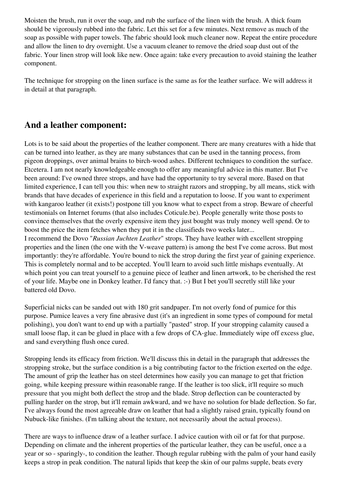Moisten the brush, run it over the soap, and rub the surface of the linen with the brush. A thick foam should be vigorously rubbed into the fabric. Let this set for a few minutes. Next remove as much of the soap as possible with paper towels. The fabric should look much cleaner now. Repeat the entire procedure and allow the linen to dry overnight. Use a vacuum cleaner to remove the dried soap dust out of the fabric. Your linen strop will look like new. Once again: take every precaution to avoid staining the leather component.

The technique for stropping on the linen surface is the same as for the leather surface. We will address it in detail at that paragraph.

### **And a leather component:**

Lots is to be said about the properties of the leather component. There are many creatures with a hide that can be turned into leather, as they are many substances that can be used in the tanning process, from pigeon droppings, over animal brains to birch-wood ashes. Different techniques to condition the surface. Etcetera. I am not nearly knowledgeable enough to offer any meaningful advice in this matter. But I've been around: I've owned three strops, and have had the opportunity to try several more. Based on that limited experience, I can tell you this: when new to straight razors and stropping, by all means, stick with brands that have decades of experience in this field and a reputation to loose. If you want to experiment with kangaroo leather (it exists!) postpone till you know what to expect from a strop. Beware of cheerful testimonials on Internet forums (that also includes Coticule.be). People generally write those posts to convince themselves that the overly expensive item they just bought was truly money well spend. Or to boost the price the item fetches when they put it in the classifieds two weeks later...

I recommend the Dovo "*Russian Juchten Leather*" strops. They have leather with excellent stropping properties and the linen (the one with the V-weave pattern) is among the best I've come across. But most importantly: they're affordable. You're bound to nick the strop during the first year of gaining experience. This is completely normal and to be accepted. You'll learn to avoid such little mishaps eventually. At which point you can treat yourself to a genuine piece of leather and linen artwork, to be cherished the rest of your life. Maybe one in Donkey leather. I'd fancy that. :-) But I bet you'll secretly still like your battered old Dovo.

Superficial nicks can be sanded out with 180 grit sandpaper. I'm not overly fond of pumice for this purpose. Pumice leaves a very fine abrasive dust (it's an ingredient in some types of compound for metal polishing), you don't want to end up with a partially "pasted" strop. If your stropping calamity caused a small loose flap, it can be glued in place with a few drops of CA-glue. Immediately wipe off excess glue, and sand everything flush once cured.

Stropping lends its efficacy from friction. We'll discuss this in detail in the paragraph that addresses the stropping stroke, but the surface condition is a big contributing factor to the friction exerted on the edge. The amount of grip the leather has on steel determines how easily you can manage to get that friction going, while keeping pressure within reasonable range. If the leather is too slick, it'll require so much pressure that you might both deflect the strop and the blade. Strop deflection can be counteracted by pulling harder on the strop, but it'll remain awkward, and we have no solution for blade deflection. So far, I've always found the most agreeable draw on leather that had a slightly raised grain, typically found on Nubuck-like finishes. (I'm talking about the texture, not necessarily about the actual process).

There are ways to influence draw of a leather surface. I advice caution with oil or fat for that purpose. Depending on climate and the inherent properties of the particular leather, they can be useful, once a a year or so - sparingly-, to condition the leather. Though regular rubbing with the palm of your hand easily keeps a strop in peak condition. The natural lipids that keep the skin of our palms supple, beats every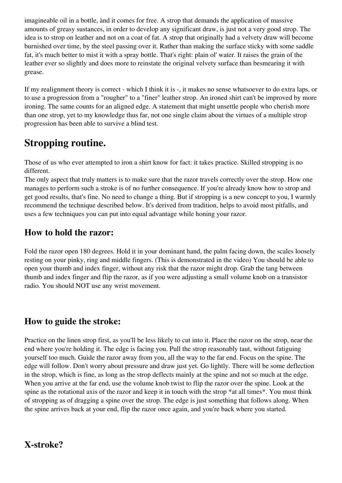imagineable oil in a bottle, ànd it comes for free. A strop that demands the application of massive amounts of greasy sustances, in order to develop any significant draw, is just not a very good strop. The idea is to strop on leather and not on a coat of fat. A strop that originally had a velvety draw will become burnished over time, by the steel passing over it. Rather than making the surface sticky with some saddle fat, it's much better to mist it with a spray bottle. That's right: plain ol' water. It raises the grain of the leather ever so slightly and does more to reinstate the original velvety surface than besmearing it with grease.

If my realignment theory is correct - which I think it is -, it makes no sense whatsoever to do extra laps, or to use a progression from a "rougher" to a "finer" leather strop. An ironed shirt can't be improved by more ironing. The same counts for an aligned edge. A statement that might unsettle people who cherish more than one strop, yet to my knowledge thus far, not one single claim about the virtues of a multiple strop progression has been able to survive a blind test.

# **Stropping routine.**

Those of us who ever attempted to iron a shirt know for fact: it takes practice. Skilled stropping is no different.

The only aspect that truly matters is to make sure that the razor travels correctly over the strop. How one manages to perform such a stroke is of no further consequence. If you're already know how to strop and get good results, that's fine. No need to change a thing. But if stropping is a new concept to you, I warmly recommend the technique described below. It's derived from tradition, helps to avoid most pitfalls, and uses a few techniques you can put into equal advantage while honing your razor.

## **How to hold the razor:**

Fold the razor open 180 degrees. Hold it in your dominant hand, the palm facing down, the scales loosely resting on your pinky, ring and middle fingers. (This is demonstrated in the video) You should be able to open your thumb and index finger, without any risk that the razor might drop. Grab the tang between thumb and index finger and flip the razor, as if you were adjusting a small volume knob on a transistor radio. You should NOT use any wrist movement.

## **How to guide the stroke:**

Practice on the linen strop first, as you'll be less likely to cut into it. Place the razor on the strop, near the end where you're holding it. The edge is facing you. Pull the strop reasonably taut, without fatiguing yourself too much. Guide the razor away from you, all the way to the far end. Focus on the spine. The edge will follow. Don't worry about pressure and draw just yet. Go lightly. There will be some deflection in the strop, which is fine, as long as the strop deflects mainly at the spine and not so much at the edge. When you arrive at the far end, use the volume knob twist to flip the razor over the spine. Look at the spine as the rotational axis of the razor and keep it in touch with the strop \*at all times\*. You must think of stropping as of dragging a spine over the strop. The edge is just something that follows along. When the spine arrives back at your end, flip the razor once again, and you're back where you started.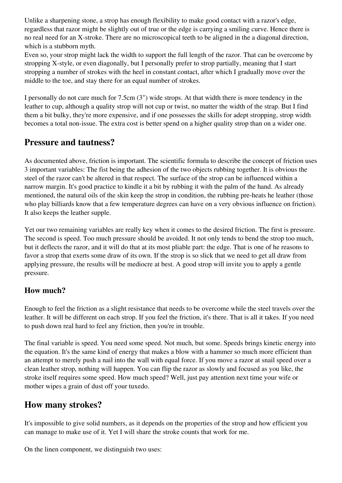Unlike a sharpening stone, a strop has enough flexibility to make good contact with a razor's edge, regardless that razor might be slightly out of true or the edge is carrying a smiling curve. Hence there is no real need for an X-stroke. There are no microscopical teeth to be aligned in the a diagonal direction, which is a stubborn myth.

Even so, your strop might lack the width to support the full length of the razor. That can be overcome by stropping X-style, or even diagonally, but I personally prefer to strop partially, meaning that I start stropping a number of strokes with the heel in constant contact, after which I gradually move over the middle to the toe, and stay there for an equal number of strokes.

I personally do not care much for 7.5cm (3") wide strops. At that width there is more tendency in the leather to cup, although a quality strop will not cup or twist, no matter the width of the strap. But I find them a bit bulky, they're more expensive, and if one possesses the skills for adept stropping, strop width becomes a total non-issue. The extra cost is better spend on a higher quality strop than on a wider one.

## **Pressure and tautness?**

As documented above, friction is important. The scientific formula to describe the concept of friction uses 3 important variables: The fist being the adhesion of the two objects rubbing together. It is obvious the steel of the razor can't be altered in that respect. The surface of the strop can be influenced within a narrow margin. It's good practice to kindle it a bit by rubbing it with the palm of the hand. As already mentioned, the natural oils of the skin keep the strop in condition, the rubbing pre-heats he leather (those who play billiards know that a few temperature degrees can have on a very obvious influence on friction). It also keeps the leather supple.

Yet our two remaining variables are really key when it comes to the desired friction. The first is pressure. The second is speed. Too much pressure should be avoided. It not only tends to bend the strop too much, but it deflects the razor, and it will do that at its most pliable part: the edge. That is one of he reasons to favor a strop that exerts some draw of its own. If the strop is so slick that we need to get all draw from applying pressure, the results will be mediocre at best. A good strop will invite you to apply a gentle pressure.

#### **How much?**

Enough to feel the friction as a slight resistance that needs to be overcome while the steel travels over the leather. It will be different on each strop. If you feel the friction, it's there. That is all it takes. If you need to push down real hard to feel any friction, then you're in trouble.

The final variable is speed. You need some speed. Not much, but some. Speeds brings kinetic energy into the equation. It's the same kind of energy that makes a blow with a hammer so much more efficient than an attempt to merely push a nail into the wall with equal force. If you move a razor at snail speed over a clean leather strop, nothing will happen. You can flip the razor as slowly and focused as you like, the stroke itself requires some speed. How much speed? Well, just pay attention next time your wife or mother wipes a grain of dust off your tuxedo.

## **How many strokes?**

It's impossible to give solid numbers, as it depends on the properties of the strop and how efficient you can manage to make use of it. Yet I will share the stroke counts that work for me.

On the linen component, we distinguish two uses: